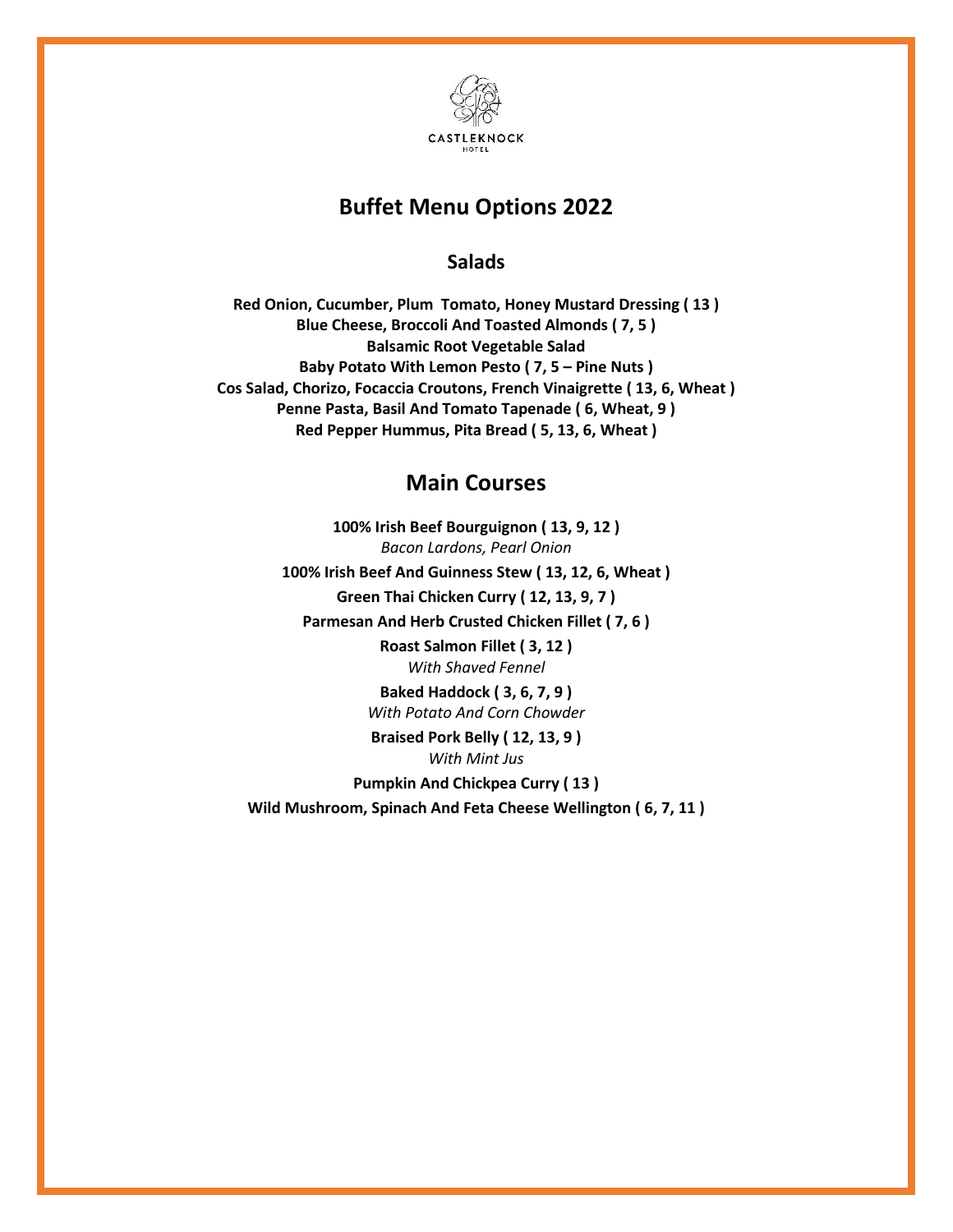

## **Buffet Menu Options 2022**

**Salads**

**Red Onion, Cucumber, Plum Tomato, Honey Mustard Dressing ( 13 ) Blue Cheese, Broccoli And Toasted Almonds ( 7, 5 ) Balsamic Root Vegetable Salad Baby Potato With Lemon Pesto ( 7, 5 – Pine Nuts ) Cos Salad, Chorizo, Focaccia Croutons, French Vinaigrette ( 13, 6, Wheat ) Penne Pasta, Basil And Tomato Tapenade ( 6, Wheat, 9 ) Red Pepper Hummus, Pita Bread ( 5, 13, 6, Wheat )**

## **Main Courses**

**100% Irish Beef Bourguignon ( 13, 9, 12 )** *Bacon Lardons, Pearl Onion* **100% Irish Beef And Guinness Stew ( 13, 12, 6, Wheat ) Green Thai Chicken Curry ( 12, 13, 9, 7 ) Parmesan And Herb Crusted Chicken Fillet ( 7, 6 ) Roast Salmon Fillet ( 3, 12 )** *With Shaved Fennel* **Baked Haddock ( 3, 6, 7, 9 )**

*With Potato And Corn Chowder*

**Braised Pork Belly ( 12, 13, 9 )** *With Mint Jus*

**Pumpkin And Chickpea Curry ( 13 )**

**Wild Mushroom, Spinach And Feta Cheese Wellington ( 6, 7, 11 )**